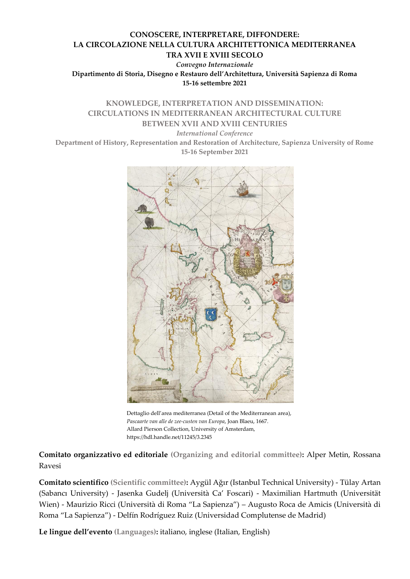## **CONOSCERE, INTERPRETARE, DIFFONDERE: LA CIRCOLAZIONE NELLA CULTURA ARCHITETTONICA MEDITERRANEA TRA XVII E XVIII SECOLO**

*Convegno Internazionale* **Dipartimento di Storia, Disegno e Restauro dell'Architettura, Università Sapienza di Roma 15-16 settembre 2021**

# **KNOWLEDGE, INTERPRETATION AND DISSEMINATION: CIRCULATIONS IN MEDITERRANEAN ARCHITECTURAL CULTURE BETWEEN XVII AND XVIII CENTURIES**

*International Conference*

**Department of History, Representation and Restoration of Architecture, Sapienza University of Rome 15-16 September 2021**



Dettaglio dell'area mediterranea (Detail of the Mediterranean area), *Pascaarte van alle de zee-custen van Europa*, Joan Blaeu, 1667. Allard Pierson Collection, University of Amsterdam, <https://hdl.handle.net/11245/3.2345>

**Comitato organizzativo ed editoriale (Organizing and editorial committee):** Alper Metin, Rossana Ravesi

**Comitato scientifico (Scientific committee):** Aygül Ağır (Istanbul Technical University) - Tülay Artan (Sabancı University) - Jasenka Gudelj (Università Ca' Foscari) - Maximilian Hartmuth (Universität Wien) - Maurizio Ricci (Università di Roma "La Sapienza") – Augusto Roca de Amicis (Università di Roma "La Sapienza") - Delfín Rodríguez Ruiz (Universidad Complutense de Madrid)

**Le lingue dell'evento (Languages):** italiano, inglese (Italian, English)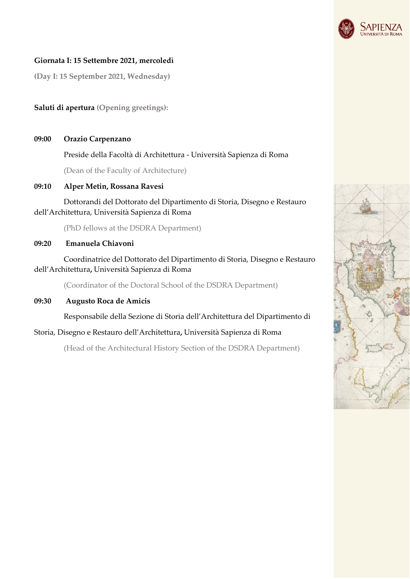

### **Giornata I: 15 Settembre 2021, mercoledì**

**(Day I: 15 September 2021, Wednesday)**

## **Saluti di apertura (Opening greetings):**

**09:00 Orazio Carpenzano**

Preside della Facoltà di Architettura - Università Sapienza di Roma

(Dean of the Faculty of Architecture)

### **09:10 Alper Metin, Rossana Ravesi**

 Dottorandi del Dottorato del Dipartimento di Storia, Disegno e Restauro dell'Architettura, Università Sapienza di Roma

(PhD fellows at the DSDRA Department)

#### **09:20 Emanuela Chiavoni**

Coordinatrice del Dottorato del Dipartimento di Storia, Disegno e Restauro dell'Architettura**,** Università Sapienza di Roma

(Coordinator of the Doctoral School of the DSDRA Department)

**09:30 Augusto Roca de Amicis**

Responsabile della Sezione di Storia dell'Architettura del Dipartimento di

### Storia, Disegno e Restauro dell'Architettura**,** Università Sapienza di Roma

(Head of the Architectural History Section of the DSDRA Department)

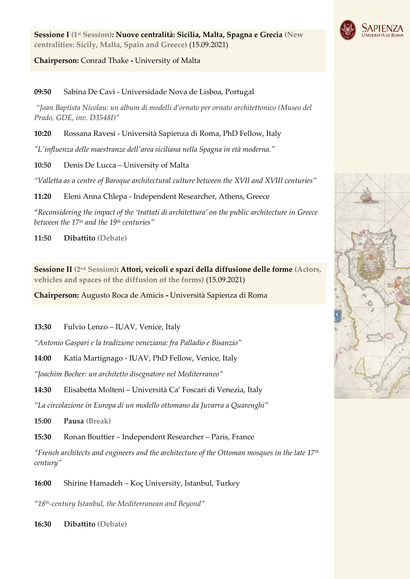

**Sessione I (1st Session): Nuove centralità: Sicilia, Malta, Spagna e Grecia (New centralities: Sicily, Malta, Spain and Greece)** (15.09.2021)

## **Chairperson:** Conrad Thake **-** University of Malta

**09:50** Sabina De Cavi - Universidade Nova de Lisboa, Portugal

*"Joan Baptista Nicolau: un album di modelli d'ornato per ornato architettonico (Museo del Prado, GDE, inv. D3548I)"*

**10:20** Rossana Ravesi - Università Sapienza di Roma, PhD Fellow, Italy

*"L'influenza delle maestranze dell'area siciliana nella Spagna in età moderna."*

**10:50** Denis De Lucca – University of Malta

*"Valletta as a centre of Baroque architectural culture between the XVII and XVIII centuries"*

**11:20** Eleni Anna Chlepa - Independent Researcher, Athens, Greece

"*Reconsidering the impact of the 'trattati di architettura' on the public architecture in Greece between the 17th and the 19th centuries"*

**11:50 Dibattito (Debate)** 

**Sessione II (2nd Session): Attori, veicoli e spazi della diffusione delle forme (Actors, vehicles and spaces of the diffusion of the forms)** (15.09.2021)

**Chairperson:** Augusto Roca de Amicis **-** Università Sapienza di Roma

**13:30** Fulvio Lenzo – IUAV, Venice, Italy

*"Antonio Gaspari e la tradizione veneziana: fra Palladio e Bisanzio"*

**14:00** Katia Martignago - IUAV, PhD Fellow, Venice, Italy

*"Joachim Bocher: un architetto disegnatore nel Mediterraneo"*

**14:30** Elisabetta Molteni – Università Ca' Foscari di Venezia, Italy

*"La circolazione in Europa di un modello ottomano da Juvarra a Quarenghi"*

**15:00 Pausa (Break)**

**15:30** Ronan Bouttier – Independent Researcher – Paris, France

*"French architects and engineers and the architecture of the Ottoman mosques in the late 17th century"*

**16:00** Shirine Hamadeh – Koç University, Istanbul, Turkey

*"18th-century Istanbul, the Mediterranean and Beyond"*

**16:30 Dibattito (Debate)**

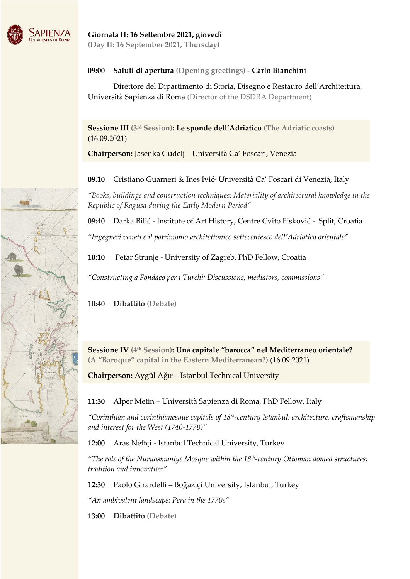

## **09:00 Saluti di apertura (Opening greetings) - Carlo Bianchini**

 Direttore del Dipartimento di Storia, Disegno e Restauro dell'Architettura, Università Sapienza di Roma (Director of the DSDRA Department)

**Sessione III (3rd Session): Le sponde dell'Adriatico (The Adriatic coasts)** (16.09.2021)

**Chairperson:** Jasenka Gudelj – Università Ca' Foscari, Venezia

**09.10** Cristiano Guarneri & Ines Ivić- Università Ca' Foscari di Venezia, Italy

*"Books, buildings and construction techniques: Materiality of architectural knowledge in the Republic of Ragusa during the Early Modern Period"*

**09:40** Darka Bilić - Institute of Art History, Centre Cvito Fisković - Split, Croatia

*"Ingegneri veneti e il patrimonio architettonico settecentesco dell'Adriatico orientale"*

**10:10** Petar Strunje - University of Zagreb, PhD Fellow, Croatia

*"Constructing a Fondaco per i Turchi: Discussions, mediators, commissions"*

**10:40 Dibattito (Debate)**

**Sessione IV (4th Session): Una capitale "barocca" nel Mediterraneo orientale? (A "Baroque" capital in the Eastern Mediterranean?)** (16.09.2021)

**Chairperson:** Aygül Ağır – Istanbul Technical University

**11:30** Alper Metin – Università Sapienza di Roma, PhD Fellow, Italy

*"Corinthian and corinthianesque capitals of 18th-century Istanbul: architecture, craftsmanship and interest for the West (1740-1778)"*

**12:00** Aras Neftçi - Istanbul Technical University, Turkey

*"The role of the Nuruosmaniye Mosque within the 18th-century Ottoman domed structures: tradition and innovation"*

**12:30** Paolo Girardelli – Boğaziçi University, Istanbul, Turkey

*"An ambivalent landscape: Pera in the 1770s"*

**13:00 Dibattito (Debate)**